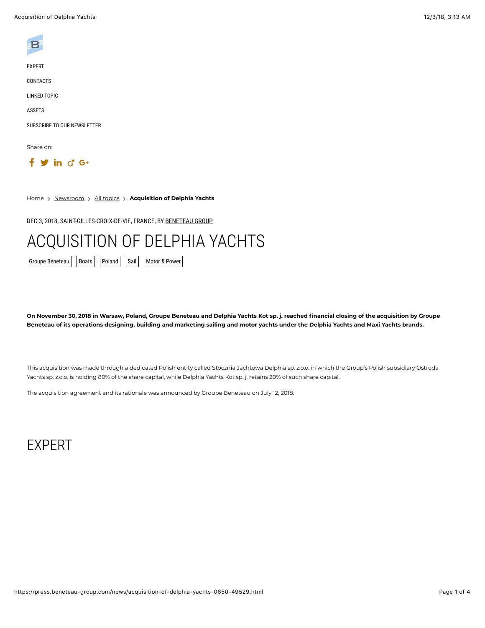

[EXPERT](#page-0-0)

[CONTACTS](#page-1-0)

[LINKED TOPIC](#page-1-1)

[ASSETS](#page-2-0)

[SUBSCRIBE TO OUR NEWSLETTER](#page-2-1)

Share on:

 $f \circ in \circ G$ 

Home > [Newsroom](https://press.beneteau-group.com/) > [All topics](https://press.beneteau-group.com/news/) > Acquisition of Delphia Yachts

DEC 3, 2018, SAINT-GILLES-CROIX-DE-VIE, FRANCE, BY [BENETEAU GROUP](https://press.beneteau-group.com/)

# ACQUISITION OF DELPHIA YACHTS

[Groupe Beneteau](https://press.beneteau-group.com/groupe-beneteau.html) | [Boats](https://press.beneteau-group.com/boats.html) | [Poland](https://press.beneteau-group.com/poland.html) | [Sail](https://press.beneteau-group.com/sail.html) | [Motor & Power](https://press.beneteau-group.com/motor--power.html)

**On November 30, 2018 in Warsaw, Poland, Groupe Beneteau and Delphia Yachts Kot sp. j. reached financial closing of the acquisition by Groupe Beneteau of its operations designing, building and marketing sailing and motor yachts under the Delphia Yachts and Maxi Yachts brands.**

This acquisition was made through a dedicated Polish entity called Stocznia Jachtowa Delphia sp. z.o.o. in which the Group's Polish subsidiary Ostroda Yachts sp. z.o.o. is holding 80% of the share capital, while Delphia Yachts Kot sp. j. retains 20% of such share capital.

The acquisition agreement and its rationale was announced by Groupe Beneteau on July 12, 2018.

### <span id="page-0-0"></span>EXPERT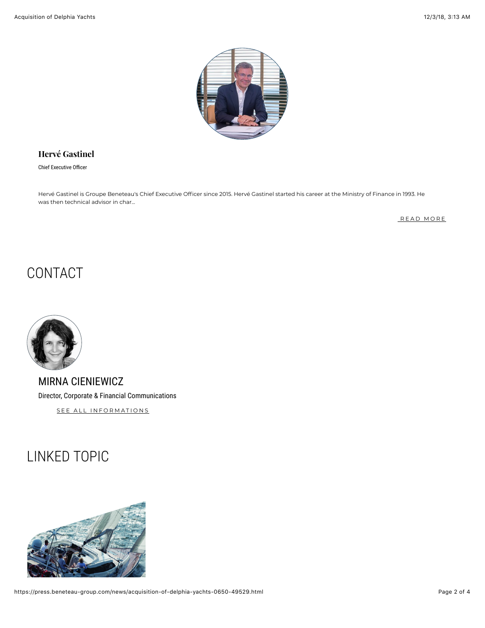

### **[Hervé Gastinel](https://press.beneteau-group.com/experts/herve-gastinel.html)**

Chief Executive Officer

Hervé Gastinel is Groupe Beneteau's Chief Executive Officer since 2015. Hervé Gastinel started his career at the Ministry of Finance in 1993. He was then technical advisor in char...

[READ MORE](https://press.beneteau-group.com/experts/herve-gastinel.html)

### <span id="page-1-0"></span>CONTACT

MIRNA CIENIEWICZ Director, Corporate & Financial Communications

SEE ALL INFORMATIONS

### <span id="page-1-1"></span>LINKED TOPIC

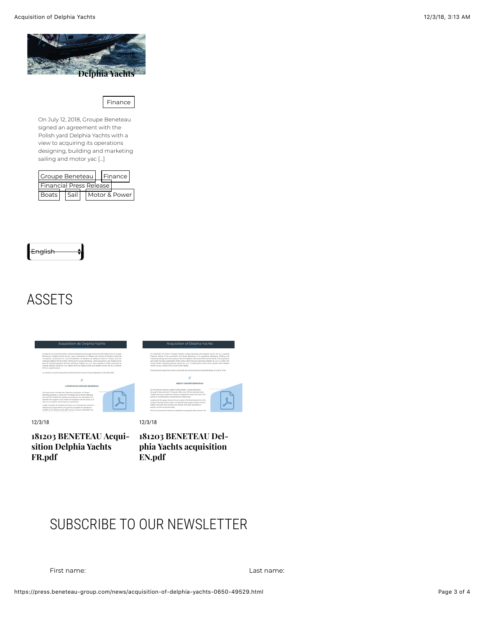

Finance

On July 12, 2018, Groupe Beneteau signed an agreement with the Polish yard Delphia Yachts with a view to acquiring its operations designing, building and marketing sailing and motor yac [...]

| Groupe Beneteau         |  |      |  |  |  |  | Finance       |  |
|-------------------------|--|------|--|--|--|--|---------------|--|
| Financial Press Release |  |      |  |  |  |  |               |  |
| <b>Boats</b>            |  | Sail |  |  |  |  | Motor & Power |  |

<span id="page-2-0"></span>

### ASSETS





12/3/18

**[181203 BENETEAU Acqui](https://press.beneteau-group.com/assets/181203-beneteau-acquisition-delphia-yachts-fr-pdf-bf7d-49529.html)sition Delphia Yachts FR.pdf**



**[181203 BENETEAU Del](https://press.beneteau-group.com/assets/181203-beneteau-delphia-yachts-acquisition-en-pdf-7212-49529.html)phia Yachts acquisition EN.pdf**

## <span id="page-2-1"></span>SUBSCRIBE TO OUR NEWSLETTER

First name: Last name: